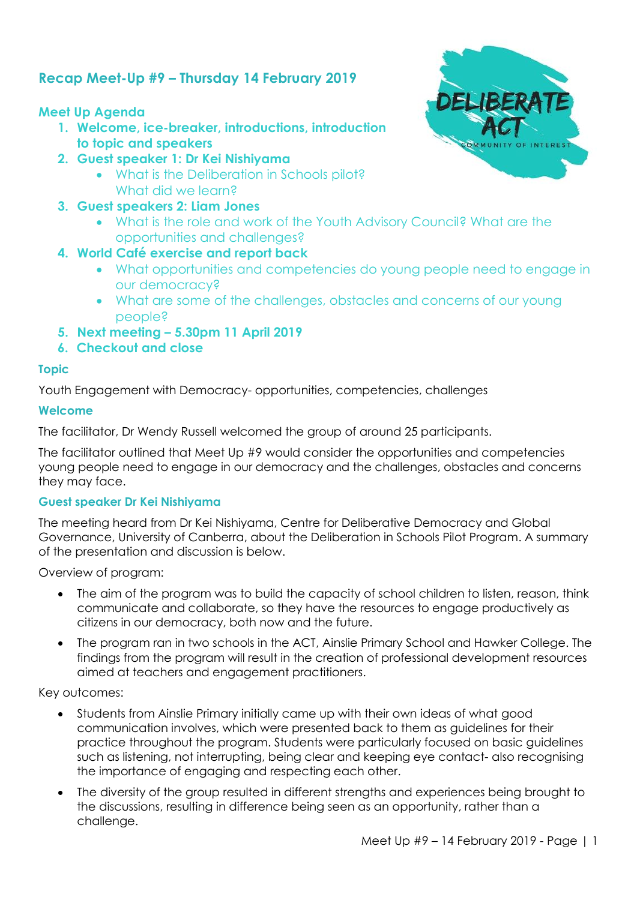# **Recap Meet-Up #9 – Thursday 14 February 2019**

## **Meet Up Agenda**

- **1. Welcome, ice-breaker, introductions, introduction to topic and speakers**
- **2. Guest speaker 1: Dr Kei Nishiyama**
	- What is the Deliberation in Schools pilot? What did we learn?
- **3. Guest speakers 2: Liam Jones**
	- What is the role and work of the Youth Advisory Council? What are the opportunities and challenges?
- **4. World Café exercise and report back** 
	- What opportunities and competencies do young people need to engage in our democracy?
	- What are some of the challenges, obstacles and concerns of our young people?
- **5. Next meeting – 5.30pm 11 April 2019**
- **6. Checkout and close**

## **Topic**

Youth Engagement with Democracy- opportunities, competencies, challenges

## **Welcome**

The facilitator, Dr Wendy Russell welcomed the group of around 25 participants.

The facilitator outlined that Meet Up #9 would consider the opportunities and competencies young people need to engage in our democracy and the challenges, obstacles and concerns they may face.

## **Guest speaker Dr Kei Nishiyama**

The meeting heard from Dr Kei Nishiyama, Centre for Deliberative Democracy and Global Governance, University of Canberra, about the Deliberation in Schools Pilot Program. A summary of the presentation and discussion is below.

Overview of program:

- The aim of the program was to build the capacity of school children to listen, reason, think communicate and collaborate, so they have the resources to engage productively as citizens in our democracy, both now and the future.
- The program ran in two schools in the ACT, Ainslie Primary School and Hawker College. The findings from the program will result in the creation of professional development resources aimed at teachers and engagement practitioners.

Key outcomes:

- Students from Ainslie Primary initially came up with their own ideas of what good communication involves, which were presented back to them as guidelines for their practice throughout the program. Students were particularly focused on basic guidelines such as listening, not interrupting, being clear and keeping eye contact- also recognising the importance of engaging and respecting each other.
- The diversity of the group resulted in different strengths and experiences being brought to the discussions, resulting in difference being seen as an opportunity, rather than a challenge.

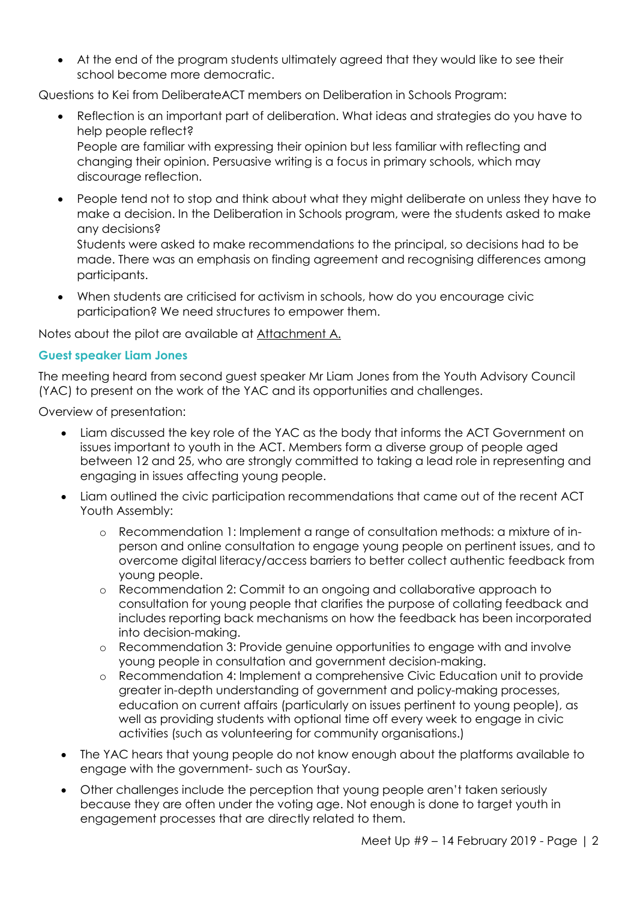At the end of the program students ultimately agreed that they would like to see their school become more democratic.

Questions to Kei from DeliberateACT members on Deliberation in Schools Program:

 Reflection is an important part of deliberation. What ideas and strategies do you have to help people reflect? People are familiar with expressing their opinion but less familiar with reflecting and changing their opinion. Persuasive writing is a focus in primary schools, which may

discourage reflection.

 People tend not to stop and think about what they might deliberate on unless they have to make a decision. In the Deliberation in Schools program, were the students asked to make any decisions?

Students were asked to make recommendations to the principal, so decisions had to be made. There was an emphasis on finding agreement and recognising differences among participants.

 When students are criticised for activism in schools, how do you encourage civic participation? We need structures to empower them.

Notes about the pilot are available at Attachment A.

### **Guest speaker Liam Jones**

The meeting heard from second guest speaker Mr Liam Jones from the Youth Advisory Council (YAC) to present on the work of the YAC and its opportunities and challenges.

Overview of presentation:

- Liam discussed the key role of the YAC as the body that informs the ACT Government on issues important to youth in the ACT. Members form a diverse group of people aged between 12 and 25, who are strongly committed to taking a lead role in representing and engaging in issues affecting young people.
- Liam outlined the civic participation recommendations that came out of the recent ACT Youth Assembly:
	- o Recommendation 1: Implement a range of consultation methods: a mixture of inperson and online consultation to engage young people on pertinent issues, and to overcome digital literacy/access barriers to better collect authentic feedback from young people.
	- o Recommendation 2: Commit to an ongoing and collaborative approach to consultation for young people that clarifies the purpose of collating feedback and includes reporting back mechanisms on how the feedback has been incorporated into decision-making.
	- o Recommendation 3: Provide genuine opportunities to engage with and involve young people in consultation and government decision-making.
	- o Recommendation 4: Implement a comprehensive Civic Education unit to provide greater in-depth understanding of government and policy-making processes, education on current affairs (particularly on issues pertinent to young people), as well as providing students with optional time off every week to engage in civic activities (such as volunteering for community organisations.)
- The YAC hears that young people do not know enough about the platforms available to engage with the government- such as YourSay.
- Other challenges include the perception that young people aren't taken seriously because they are often under the voting age. Not enough is done to target youth in engagement processes that are directly related to them.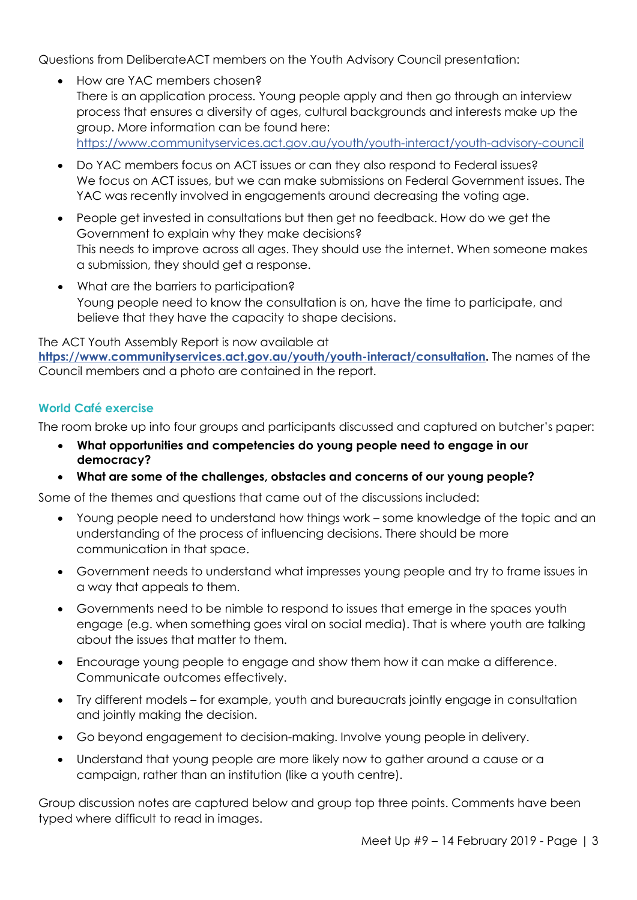Questions from DeliberateACT members on the Youth Advisory Council presentation:

- How are YAC members chosen? There is an application process. Young people apply and then go through an interview process that ensures a diversity of ages, cultural backgrounds and interests make up the group. More information can be found here: <https://www.communityservices.act.gov.au/youth/youth-interact/youth-advisory-council>
- Do YAC members focus on ACT issues or can they also respond to Federal issues? We focus on ACT issues, but we can make submissions on Federal Government issues. The YAC was recently involved in engagements around decreasing the voting age.
- People get invested in consultations but then get no feedback. How do we get the Government to explain why they make decisions? This needs to improve across all ages. They should use the internet. When someone makes a submission, they should get a response.
- What are the barriers to participation? Young people need to know the consultation is on, have the time to participate, and believe that they have the capacity to shape decisions.

The ACT Youth Assembly Report is now available at **[https://www.communityservices.act.gov.au/youth/youth-interact/consultation.](https://www.communityservices.act.gov.au/youth/youth-interact/consultation)** The names of the Council members and a photo are contained in the report.

## **World Café exercise**

The room broke up into four groups and participants discussed and captured on butcher's paper:

- **What opportunities and competencies do young people need to engage in our democracy?**
- **What are some of the challenges, obstacles and concerns of our young people?**

Some of the themes and questions that came out of the discussions included:

- Young people need to understand how things work some knowledge of the topic and an understanding of the process of influencing decisions. There should be more communication in that space.
- Government needs to understand what impresses young people and try to frame issues in a way that appeals to them.
- Governments need to be nimble to respond to issues that emerge in the spaces youth engage (e.g. when something goes viral on social media). That is where youth are talking about the issues that matter to them.
- Encourage young people to engage and show them how it can make a difference. Communicate outcomes effectively.
- Try different models for example, youth and bureaucrats jointly engage in consultation and jointly making the decision.
- Go beyond engagement to decision-making. Involve young people in delivery.
- Understand that young people are more likely now to gather around a cause or a campaign, rather than an institution (like a youth centre).

Group discussion notes are captured below and group top three points. Comments have been typed where difficult to read in images.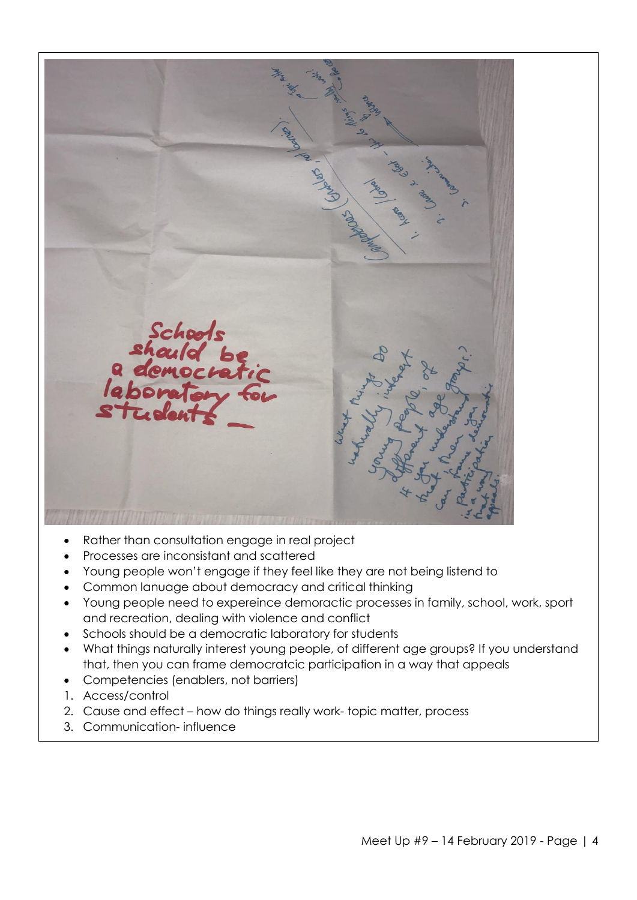

- Rather than consultation engage in real project
- Processes are inconsistant and scattered
- Young people won't engage if they feel like they are not being listend to
- Common lanuage about democracy and critical thinking
- Young people need to expereince demoractic processes in family, school, work, sport and recreation, dealing with violence and conflict
- Schools should be a democratic laboratory for students
- What things naturally interest young people, of different age groups? If you understand that, then you can frame democratcic participation in a way that appeals
- Competencies (enablers, not barriers)
- 1. Access/control
- 2. Cause and effect how do things really work- topic matter, process
- 3. Communication- influence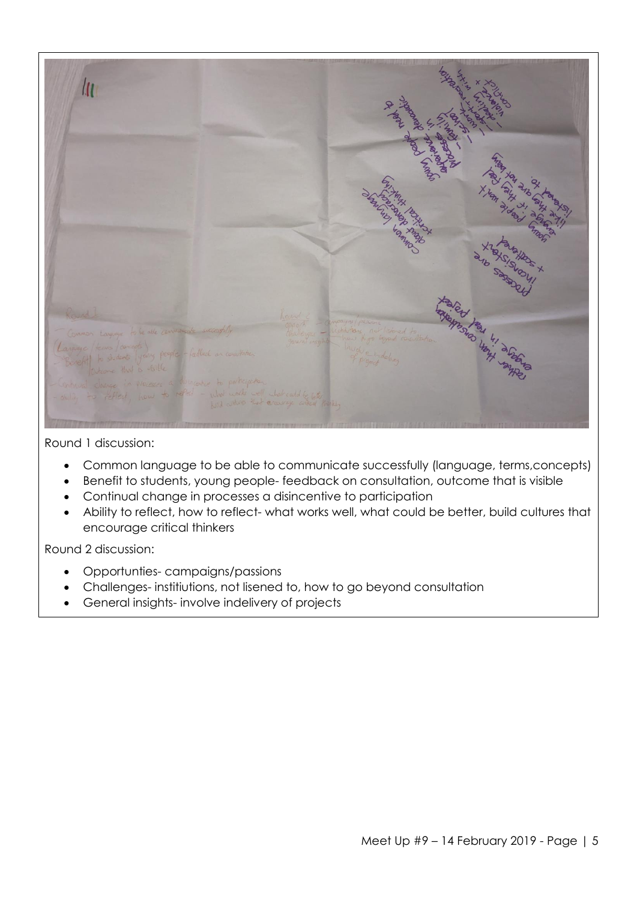

Round 1 discussion:

- Common language to be able to communicate successfully (language, terms,concepts)
- Benefit to students, young people- feedback on consultation, outcome that is visible
- Continual change in processes a disincentive to participation
- Ability to reflect, how to reflect- what works well, what could be better, build cultures that encourage critical thinkers

Round 2 discussion:

- Opportunties- campaigns/passions
- Challenges- institiutions, not lisened to, how to go beyond consultation
- General insights- involve indelivery of projects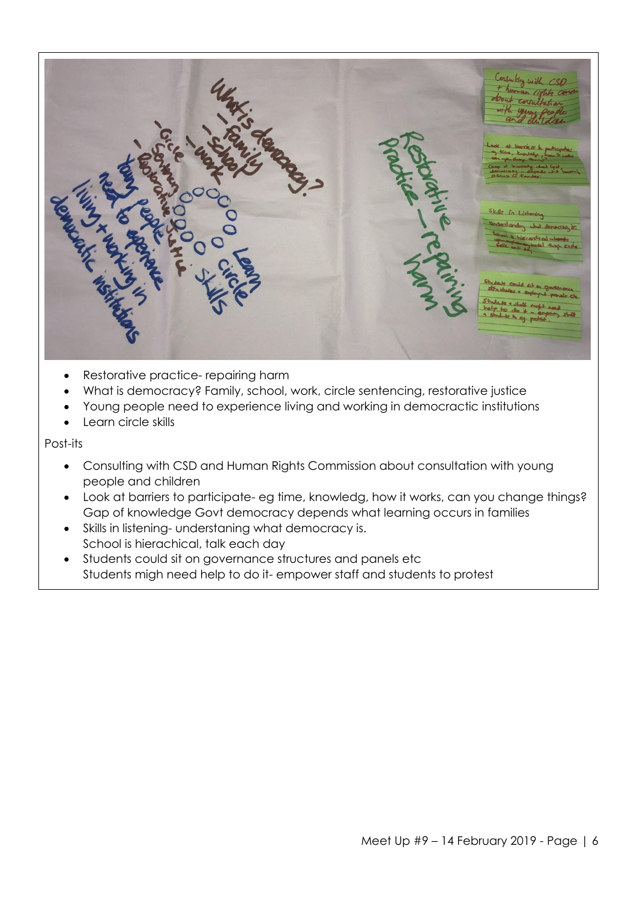

- Restorative practice- repairing harm
- What is democracy? Family, school, work, circle sentencing, restorative justice
- Young people need to experience living and working in democractic institutions
- Learn circle skills

Post-its

- Consulting with CSD and Human Rights Commission about consultation with young people and children
- Look at barriers to participate- eg time, knowledg, how it works, can you change things? Gap of knowledge Govt democracy depends what learning occurs in families
- Skills in listening- understaning what democracy is. School is hierachical, talk each day
- Students could sit on governance structures and panels etc Students migh need help to do it- empower staff and students to protest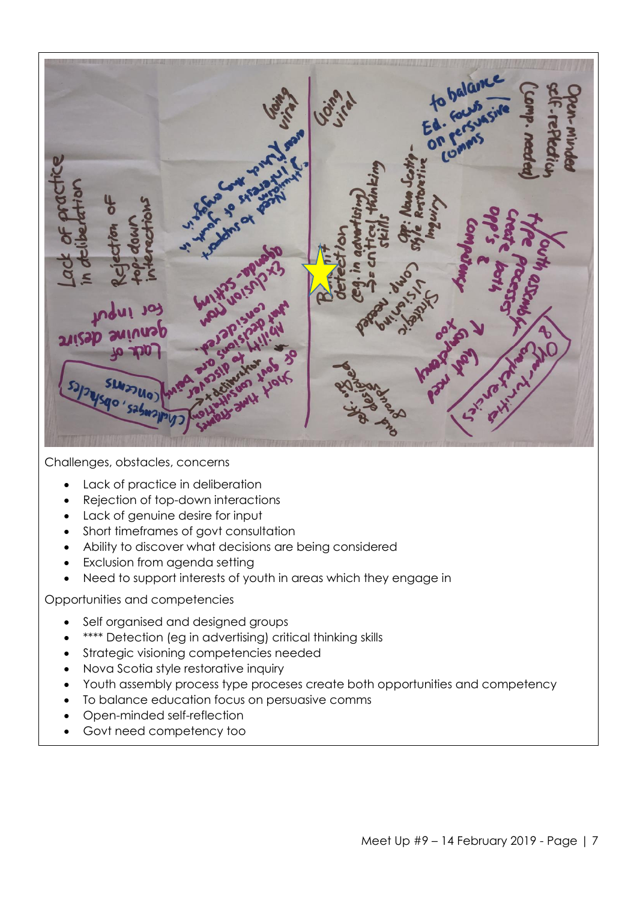

Challenges, obstacles, concerns

- Lack of practice in deliberation
- Rejection of top-down interactions
- Lack of genuine desire for input
- Short timeframes of govt consultation
- Ability to discover what decisions are being considered
- Exclusion from agenda setting
- Need to support interests of youth in areas which they engage in

Opportunities and competencies

- Self organised and designed groups
- \*\*\*\* Detection (eg in advertising) critical thinking skills
- Strategic visioning competencies needed
- Nova Scotia style restorative inquiry
- Youth assembly process type proceses create both opportunities and competency
- To balance education focus on persuasive comms
- Open-minded self-reflection
- Govt need competency too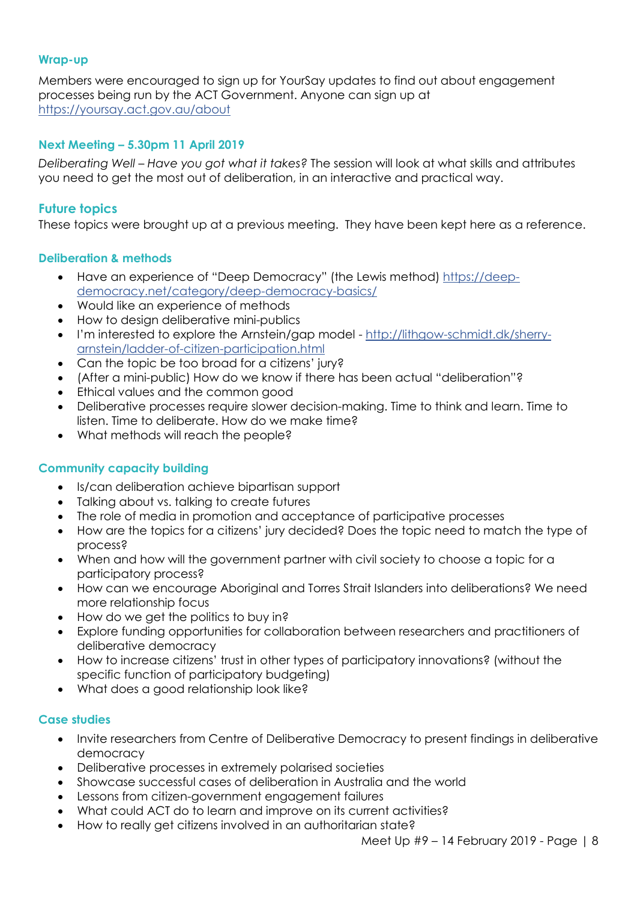#### **Wrap-up**

Members were encouraged to sign up for YourSay updates to find out about engagement processes being run by the ACT Government. Anyone can sign up at <https://yoursay.act.gov.au/about>

## **Next Meeting – 5.30pm 11 April 2019**

*Deliberating Well – Have you got what it takes?* The session will look at what skills and attributes you need to get the most out of deliberation, in an interactive and practical way.

### **Future topics**

These topics were brought up at a previous meeting. They have been kept here as a reference.

### **Deliberation & methods**

- Have an experience of "Deep Democracy" (the Lewis method) [https://deep](https://deep-democracy.net/category/deep-democracy-basics/)[democracy.net/category/deep-democracy-basics/](https://deep-democracy.net/category/deep-democracy-basics/)
- Would like an experience of methods
- How to design deliberative mini-publics
- I'm interested to explore the Arnstein/gap model [http://lithgow-schmidt.dk/sherry](http://lithgow-schmidt.dk/sherry-arnstein/ladder-of-citizen-participation.html)[arnstein/ladder-of-citizen-participation.html](http://lithgow-schmidt.dk/sherry-arnstein/ladder-of-citizen-participation.html)
- Can the topic be too broad for a citizens' jury?
- (After a mini-public) How do we know if there has been actual "deliberation"?
- Ethical values and the common good
- Deliberative processes require slower decision-making. Time to think and learn. Time to listen. Time to deliberate. How do we make time?
- What methods will reach the people?

#### **Community capacity building**

- Is/can deliberation achieve bipartisan support
- Talking about vs. talking to create futures
- The role of media in promotion and acceptance of participative processes
- How are the topics for a citizens' jury decided? Does the topic need to match the type of process?
- When and how will the government partner with civil society to choose a topic for a participatory process?
- How can we encourage Aboriginal and Torres Strait Islanders into deliberations? We need more relationship focus
- How do we get the politics to buy in?
- Explore funding opportunities for collaboration between researchers and practitioners of deliberative democracy
- How to increase citizens' trust in other types of participatory innovations? (without the specific function of participatory budgeting)
- What does a good relationship look like?

#### **Case studies**

- Invite researchers from Centre of Deliberative Democracy to present findings in deliberative democracy
- Deliberative processes in extremely polarised societies
- Showcase successful cases of deliberation in Australia and the world
- Lessons from citizen-government engagement failures
- What could ACT do to learn and improve on its current activities?
- How to really get citizens involved in an authoritarian state?